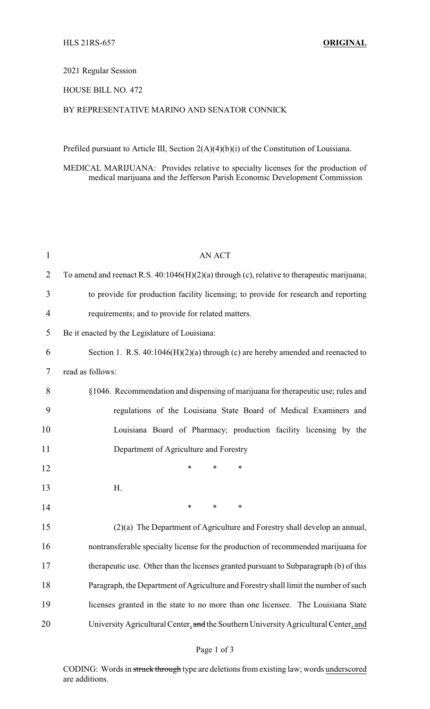#### 2021 Regular Session

## HOUSE BILL NO. 472

# BY REPRESENTATIVE MARINO AND SENATOR CONNICK

Prefiled pursuant to Article III, Section 2(A)(4)(b)(i) of the Constitution of Louisiana.

MEDICAL MARIJUANA: Provides relative to specialty licenses for the production of medical marijuana and the Jefferson Parish Economic Development Commission

| $\mathbf{1}$   | <b>AN ACT</b>                                                                                |
|----------------|----------------------------------------------------------------------------------------------|
| $\overline{2}$ | To amend and reenact R.S. $40:1046(H)(2)(a)$ through (c), relative to therapeutic marijuana; |
| 3              | to provide for production facility licensing; to provide for research and reporting          |
| $\overline{4}$ | requirements; and to provide for related matters.                                            |
| 5              | Be it enacted by the Legislature of Louisiana:                                               |
| 6              | Section 1. R.S. $40:1046(H)(2)(a)$ through (c) are hereby amended and reenacted to           |
| 7              | read as follows:                                                                             |
| 8              | §1046. Recommendation and dispensing of marijuana for therapeutic use; rules and             |
| 9              | regulations of the Louisiana State Board of Medical Examiners and                            |
| 10             | Louisiana Board of Pharmacy; production facility licensing by the                            |
| 11             | Department of Agriculture and Forestry                                                       |
| 12             | $\ast$<br>*<br>*                                                                             |
| 13             | H.                                                                                           |
| 14             | $\ast$<br>∗<br>*                                                                             |
| 15             | (2)(a) The Department of Agriculture and Forestry shall develop an annual,                   |
| 16             | nontransferable specialty license for the production of recommended marijuana for            |
| 17             | therapeutic use. Other than the licenses granted pursuant to Subparagraph (b) of this        |
| 18             | Paragraph, the Department of Agriculture and Forestry shall limit the number of such         |
| 19             | licenses granted in the state to no more than one licensee. The Louisiana State              |
| 20             | University Agricultural Center, and the Southern University Agricultural Center, and         |

## Page 1 of 3

CODING: Words in struck through type are deletions from existing law; words underscored are additions.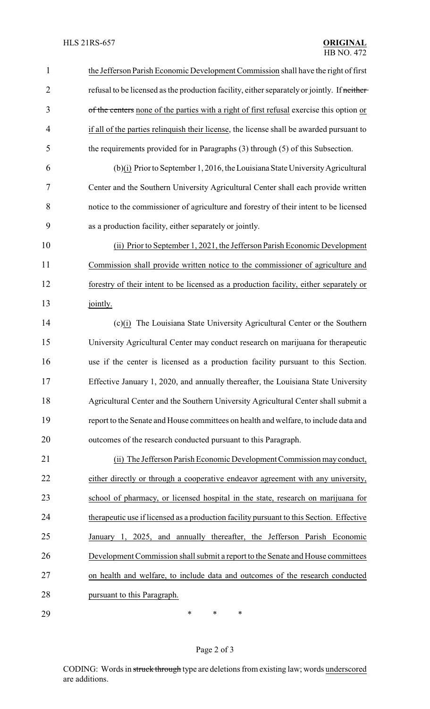| $\mathbf{1}$   | the Jefferson Parish Economic Development Commission shall have the right of first          |
|----------------|---------------------------------------------------------------------------------------------|
| $\overline{2}$ | refusal to be licensed as the production facility, either separately or jointly. If neither |
| 3              | of the centers none of the parties with a right of first refusal exercise this option or    |
| $\overline{4}$ | if all of the parties relinquish their license, the license shall be awarded pursuant to    |
| 5              | the requirements provided for in Paragraphs (3) through (5) of this Subsection.             |
| 6              | (b)(i) Prior to September 1, 2016, the Louisiana State University Agricultural              |
| 7              | Center and the Southern University Agricultural Center shall each provide written           |
| 8              | notice to the commissioner of agriculture and forestry of their intent to be licensed       |
| 9              | as a production facility, either separately or jointly.                                     |
| 10             | (ii) Prior to September 1, 2021, the Jefferson Parish Economic Development                  |
| 11             | Commission shall provide written notice to the commissioner of agriculture and              |
| 12             | forestry of their intent to be licensed as a production facility, either separately or      |
| 13             | jointly.                                                                                    |
| 14             | (c)(i) The Louisiana State University Agricultural Center or the Southern                   |
| 15             | University Agricultural Center may conduct research on marijuana for therapeutic            |
| 16             | use if the center is licensed as a production facility pursuant to this Section.            |
| 17             | Effective January 1, 2020, and annually thereafter, the Louisiana State University          |
| 18             | Agricultural Center and the Southern University Agricultural Center shall submit a          |
| 19             | report to the Senate and House committees on health and welfare, to include data and        |
| 20             | outcomes of the research conducted pursuant to this Paragraph.                              |
| 21             | (ii) The Jefferson Parish Economic Development Commission may conduct,                      |
| 22             | either directly or through a cooperative endeavor agreement with any university,            |
| 23             | school of pharmacy, or licensed hospital in the state, research on marijuana for            |
| 24             | therapeutic use if licensed as a production facility pursuant to this Section. Effective    |
| 25             | January 1, 2025, and annually thereafter, the Jefferson Parish Economic                     |
| 26             | Development Commission shall submit a report to the Senate and House committees             |
| 27             | on health and welfare, to include data and outcomes of the research conducted               |
| 28             | pursuant to this Paragraph.                                                                 |
| 29             | ∗<br>$\ast$<br>∗                                                                            |

# Page 2 of 3

CODING: Words in struck through type are deletions from existing law; words underscored are additions.